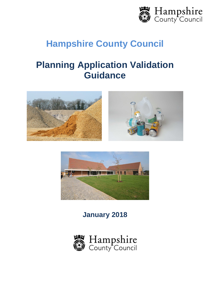

# **Hampshire County Council**

# **Planning Application Validation Guidance**





**January 2018**

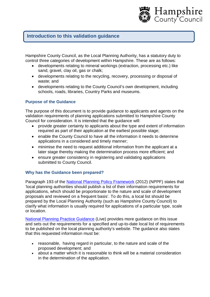

# **Introduction to this validation guidance**

Hampshire County Council, as the Local Planning Authority, has a statutory duty to control three categories of development within Hampshire. These are as follows:

- developments relating to mineral workings (extraction, processing etc.) like sand, gravel, clay oil, gas or chalk;
- developments relating to the recycling, recovery, processing or disposal of waste; and
- developments relating to the County Council's own development, including schools, roads, libraries, Country Parks and museums.

# **Purpose of the Guidance**

The purpose of this document is to provide guidance to applicants and agents on the validation requirements of planning applications submitted to Hampshire County Council for consideration. It is intended that the guidance will:

- provide greater certainty to applicants about the type and extent of information required as part of their application at the earliest possible stage;
- enable the County Council to have all the information it needs to determine applications in a considered and timely manner;
- minimise the need to request additional information from the applicant at a later stage thereby making the determination process more efficient; and
- ensure greater consistency in registering and validating applications submitted to County Council.

#### **Why has the Guidance been prepared?**

Paragraph 193 of the National Planning Policy Framework (2012) (NPPF) states that 'local planning authorities should publish a list of their information requirements for applications, which should be proportionate to the nature and scale of development proposals and reviewed on a frequent basis'. To do this, a local list should be prepared by the Local Planning Authority (such as Hampshire County Council) to clarify what information is usually required for applications of a particular type, scale or location.

National Planning Practice Guidance (Live) provides more guidance on this issue and sets out the requirements for a specified and up-to-date local list of requirements to be published on the local planning authority's website. The guidance also states that this requested information must be:

- reasonable, having regard in particular, to the nature and scale of the proposed development; and
- about a matter which it is reasonable to think will be a material consideration in the determination of the application.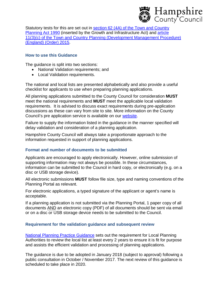

Statutory tests for this are set out in section 62 (4A) of the Town and Country Planning Act 1990 (inserted by the Growth and Infrastructure Act) and article 11(3)(c) of the Town and Country Planning (Development Management Procedure) (England) (Order) 2015.

#### **How to use this Guidance**

The guidance is split into two sections:

- National Validation requirements; and
- Local Validation requirements.

The national and local lists are presented alphabetically and also provide a useful checklist for applicants to use when preparing planning applications.

All planning applications submitted to the County Council for consideration **MUST** meet the national requirements and **MUST** meet the applicable local validation requirements. It is advised to discuss exact requirements during pre-application discussions as these can vary from site to site. More information on the County Council's pre application service is available on our website.

Failure to supply the information listed in the guidance in the manner specified will delay validation and consideration of a planning application.

Hampshire County Council will always take a proportionate approach to the information requested in support of planning applications.

#### **Format and number of documents to be submitted**

Applicants are encouraged to apply electronically. However, online submission of supporting information may not always be possible. In these circumstances, information can be submitted to the Council in hard copy, or electronically (e.g. on a disc or USB storage device).

All electronic submissions **MUST** follow file size, type and naming conventions of the Planning Portal as relevant.

For electronic applications, a typed signature of the applicant or agent's name is acceptable.

If a planning application is not submitted via the Planning Portal, 1 paper copy of all documents AND an electronic copy (PDF) of all documents should be sent via email or on a disc or USB storage device needs to be submitted to the Council.

#### **Requirement for the validation guidance and subsequent review**

National Planning Practice Guidance sets out the requirement for Local Planning Authorities to review the local list at least every 2 years to ensure it is fit for purpose and assists the efficient validation and processing of planning applications.

The guidance is due to be adopted in January 2018 (subject to approval) following a public consultation in October / November 2017. The next review of this guidance is scheduled to take place in 2020.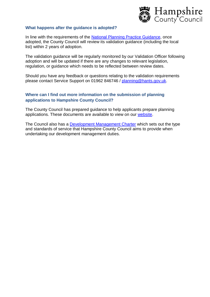

#### **What happens after the guidance is adopted?**

In line with the requirements of the National Planning Practice Guidance, once adopted, the County Council will review its validation guidance (including the local list) within 2 years of adoption.

The validation guidance will be regularly monitored by our Validation Officer following adoption and will be updated if there are any changes to relevant legislation, regulation, or guidance which needs to be reflected between review dates.

Should you have any feedback or questions relating to the validation requirements please contact Service Support on 01962 846746 / [planning@hants.gov.uk.](mailto:planning@hants.gov.uk.)

# **Where can I find out more information on the submission of planning applications to Hampshire County Council?**

The County Council has prepared guidance to help applicants prepare planning applications. These documents are available to view on our website.

The Council also has a Development Management Charter which sets out the type and standards of service that Hampshire County Council aims to provide when undertaking our development management duties.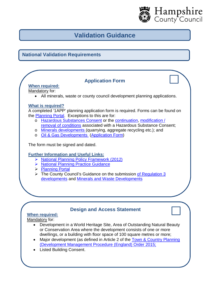

# **Validation Guidance**

# **National Validation Requirements**

# **Application Form**

**When required:** Mandatory for:

All minerals, waste or county council development planning applications.

# **What is required?**

A completed '1APP' planning application form is required. Forms can be found on the Planning Portal. Exceptions to this are for:

- o Hazardous Substances Consent or the continuation, modification / removal of conditions associated with a Hazardous Substance Consent;
- o Minerals developments (quarrying, aggregate recycling etc.); and o Oil & Gas Developments (Application Form)

The form must be signed and dated.

# **Further Information and Useful Links:**

- ▶ National Planning Policy Framework (2012)
- ▶ National Planning Practice Guidance
- ▶ Planning Portal

 $\triangleright$  The County Council's Guidance on the submission of Regulation 3 developments and Minerals and Waste Developments

# **Design and Access Statement**

# **When required:**

Mandatory for:

- Development in a World Heritage Site, Area of Outstanding Natural Beauty or Conservation Area where the development consists of one or more dwellings, or a building with floor space of 100 square metres or more;
- Major development (as defined in Article 2 of the Town & Country Planning (Development Management Procedure (England) Order 2015;
- Listed Building Consent.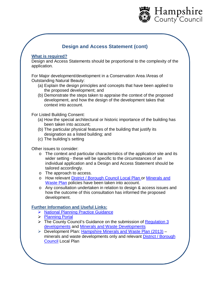

# **Design and Access Statement (cont)**

#### **What is required?**

Design and Access Statements should be proportional to the complexity of the application.

For Major development/development in a Conservation Area /Areas of Outstanding Natural Beauty:

- (a) Explain the design principles and concepts that have been applied to the proposed development; and
- (b) Demonstrate the steps taken to appraise the context of the proposed development, and how the design of the development takes that context into account.

For Listed Building Consent:

- (a) How the special architectural or historic importance of the building has been taken into account;
- (b) The particular physical features of the building that justify its designation as a listed building; and
- (c) The building's setting

Other issues to consider:

- o The context and particular characteristics of the application site and its wider setting - these will be specific to the circumstances of an individual application and a Design and Access Statement should be tailored accordingly.
- o The approach to access.
- o How relevant District / Borough Council Local Plan or Minerals and Waste Plan policies have been taken into account.
- o Any consultation undertaken in relation to design & access issues and how the outcome of this consultation has informed the proposed development.

- ▶ National Planning Practice Guidance
- > Planning Portal
- $\triangleright$  The County Council's Guidance on the submission of Regulation 3 developments and Minerals and Waste Developments
- $\triangleright$  Development Plan: Hampshire Minerals and Waste Plan (2013) minerals and waste developments only and relevant District / Borough Council Local Plan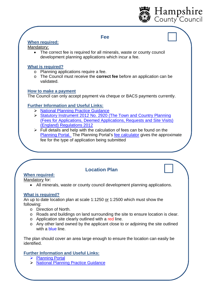

# **Fee**

# **When required:**

#### Mandatory:

 The correct fee is required for all minerals, waste or county council development planning applications which incur a fee.

# **What is required?**

- o Planning applications require a fee.
- o The Council must receive the **correct fee** before an application can be validated.

# **How to make a payment**

The Council can only accept payment via cheque or BACS payments currently.

# **Further Information and Useful Links:**

- > National Planning Practice Guidance
- Statutory Instrument 2012 No. 2920 (The Town and Country Planning (Fees for Applications, Deemed Applications, Requests and Site Visits) (England) Regulations 2012
- $\triangleright$  Full details and help with the calculation of fees can be found on the Planning Portal. The Planning Portal's fee calculator gives the approximate fee for the type of application being submitted

# **Location Plan**

# **When required:**

Mandatory for:

All minerals, waste or county council development planning applications.

# **What is required?**

An up to date location plan at scale 1:1250 or 1:2500 which must show the following:

- o Direction of North.
- o Roads and buildings on land surrounding the site to ensure location is clear.
- o Application site clearly outlined with a red line.
- o Any other land owned by the applicant close to or adjoining the site outlined with a blue line.

The plan should cover an area large enough to ensure the location can easily be identified.

- ▶ Planning Portal
- > National Planning Practice Guidance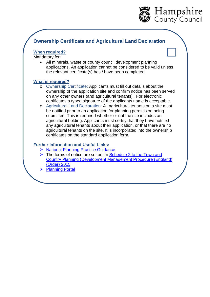

# **Ownership Certificate and Agricultural Land Declaration**

# **When required?**

Mandatory for:

 All minerals, waste or county council development planning applications. An application cannot be considered to be valid unless the relevant certificate(s) has / have been completed.

# **What is required?**

- o Ownership Certificate: Applicants must fill out details about the ownership of the application site and confirm notice has been served on any other owners (and agricultural tenants). For electronic certificates a typed signature of the applicants name is acceptable.
- o Agricultural Land Declaration: All agricultural tenants on a site must be notified prior to an application for planning permission being submitted. This is required whether or not the site includes an agricultural holding. Applicants must certify that they have notified any agricultural tenants about their application, or that there are no agricultural tenants on the site. It is incorporated into the ownership certificates on the standard application form.

- ▶ National Planning Practice Guidance
- $\triangleright$  The forms of notice are set out in **Schedule 2 to the Town and** Country Planning (Development Management Procedure (England) (Order) 2015
- > Planning Portal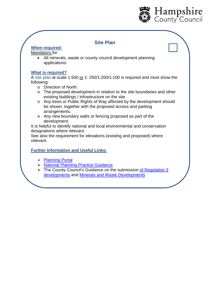

# **Site Plan**

# **When required:**

# Mandatory for:

 All minerals, waste or county council development planning applications.

# **What is required?**

A site plan at scale 1:500 or 1: 250/1:200/1:100 is required and must show the following:

- o Direction of North.
- o The proposed development in relation to the site boundaries and other existing buildings / infrastructure on the site.
- o Any trees or Public Rights of Way affected by the development should be shown, together with the proposed access and parking arrangements.
- o Any new boundary walls or fencing proposed as part of the development.

It is helpful to identify national and local environmental and conservation designations where relevant.

See also the requirement for elevations (existing and proposed) where relevant.

- ▶ Planning Portal
- > National Planning Practice Guidance
- $\triangleright$  The County Council's Guidance on the submission of Regulation 3 developments and Minerals and Waste Developments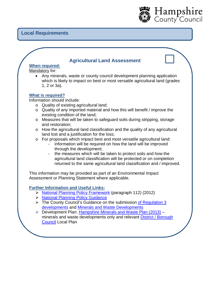# **Local Requirements**

# **Agricultural Land Assessment**

Hampshire<br>County Council

# **When required:**

Mandatory for:

 Any minerals, waste or county council development planning application which is likely to impact on best or most versatile agricultural land (grades 1, 2 or 3a).

#### **What is required?**

Information should include:

- o Quality of existing agricultural land;
- o Quality of any imported material and how this will benefit / improve the existing condition of the land;
- o Measures that will be taken to safeguard soils during stripping, storage and restoration;
- o How the agricultural land classification and the quality of any agricultural land lost and a justification for the loss;
- o For proposals which impact best and most versatile agricultural land*:*
	- information will be required on how the land will be improved through the development;
	- the measures which will be taken to protect soils and how the agricultural land classification will be protected or on completion returned to the same agricultural land classification and / improved.

This information may be provided as part of an Environmental Impact Assessment or Planning Statement where applicable.

- ▶ National Planning Policy Framework (paragraph 112) (2012)
- > National Planning Policy Guidance
- ▶ The County Council's Guidance on the submission of Regulation 3 developments and Minerals and Waste Developments
- Development Plan: Hampshire Minerals and Waste Plan (2013) minerals and waste developments only and relevant District / Borough Council Local Plan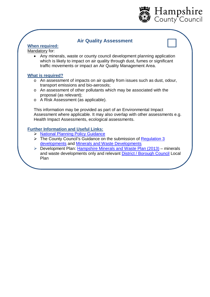

# **Air Quality Assessment**

# **When required:**

Mandatory for:

 Any minerals, waste or county council development planning application which is likely to impact on air quality through dust, fumes or significant traffic movements or impact an Air Quality Management Area.

# **What is required?**

- o An assessment of impacts on air quality from issues such as dust, odour, transport emissions and bio-aerosols;
- o An assessment of other pollutants which may be associated with the proposal (as relevant);
- o A Risk Assessment (as applicable).

This information may be provided as part of an Environmental Impact Assessment where applicable. It may also overlap with other assessments e.g. Health Impact Assessments, ecological assessments.

- ▶ National Planning Policy Guidance
- $\triangleright$  The County Council's Guidance on the submission of Regulation 3 developments and Minerals and Waste Developments
- $\triangleright$  Development Plan: Hampshire Minerals and Waste Plan (2013) minerals and waste developments only and relevant District / Borough Council Local Plan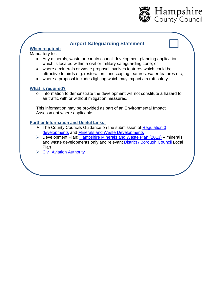

# **Airport Safeguarding Statement**

# **When required:**

#### Mandatory for:

- Any minerals, waste or county council development planning application which is located within a civil or military safeguarding zone; or
- where a minerals or waste proposal involves features which could be attractive to birds e.g. restoration, landscaping features, water features etc;
- where a proposal includes lighting which may impact aircraft safety.

#### **What is required?**

o Information to demonstrate the development will not constitute a hazard to air traffic with or without mitigation measures.

This information may be provided as part of an Environmental Impact Assessment where applicable.

- $\triangleright$  The County Councils Guidance on the submission of Regulation 3 developments and Minerals and Waste Developments
- $\triangleright$  Development Plan: Hampshire Minerals and Waste Plan (2013) minerals and waste developments only and relevant District / Borough Council Local Plan
- **► Civil Aviation Authority**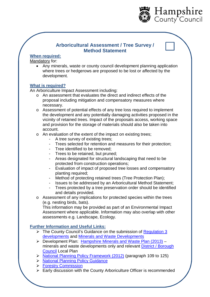

# **Arboricultural Assessment / Tree Survey / Method Statement**

# **When required:**

Mandatory for:

 Any minerals, waste or county council development planning application where trees or hedgerows are proposed to be lost or affected by the development.

# **What is required?**

An Arboriculture Impact Assessment including:

- o An assessment that evaluates the direct and indirect effects of the proposal including mitigation and compensatory measures where necessary.
- o Assessment of potential effects of any tree loss required to implement the development and any potentially damaging activities proposed in the vicinity of retained trees. Impact of the proposals access, working space and provision for the storage of materials should also be taken into account.
- o An evaluation of the extent of the impact on existing trees;
	- A tree survey of existing trees;
	- Trees selected for retention and measures for their protection;
	- Tree identified to be removed;
	- Trees to be retained, but pruned;
	- Areas designated for structural landscaping that need to be protected from construction operations;
	- Evaluation of impact of proposed tree losses and compensatory planting required;
	- Method of protecting retained trees (Tree Protection Plan);
	- Issues to be addressed by an Arboricultural Method Statement;
	- Trees protected by a tree preservation order should be identified and details provided.
- o Assessment of any implications for protected species within the trees (e.g. nesting birds, bats).

This information may be provided as part of an Environmental Impact Assessment where applicable. Information may also overlap with other assessments e.g. Landscape, Ecology.

- $\triangleright$  The County Council's Guidance on the submission of Regulation 3 developments and Minerals and Waste Developments
- Development Plan: Hampshire Minerals and Waste Plan (2013) minerals and waste developments only and relevant District / Borough Council Local Plan
- ▶ National Planning Policy Framework (2012) (paragraph 109 to 125)
- ▶ National Planning Policy Guidance
- **► Forestry Commission**
- $\triangleright$  Early discussion with the County Arboriculture Officer is recommended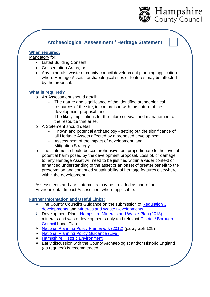

# **Archaeological Assessment / Heritage Statement**

# **When required:**

Mandatory for:

- Listed Building Consent;
- Conservation Areas; or
- Any minerals, waste or county council development planning application where Heritage Assets, archaeological sites or features may be affected by the proposal.

#### **What is required?**

- o An Assessment should detail:
	- The nature and significance of the identified archaeological resources of the site, in comparison with the nature of the development proposal; and
	- The likely implications for the future survival and management of the resource that arise.
- o A Statement should detail:
	- Known and potential archaeology setting out the significance of all Heritage Assets affected by a proposed development;
	- Assessment of the impact of development; and
	- Mitigation Strategy.
- o The statement should be comprehensive, but proportionate to the level of potential harm posed by the development proposal. Loss of, or damage to, any Heritage Asset will need to be justified within a wider context of enhanced understanding of the asset or an offset of greater benefit to the preservation and continued sustainability of heritage features elsewhere within the development.

Assessments and / or statements may be provided as part of an Environmental Impact Assessment where applicable.

- $\triangleright$  The County Council's Guidance on the submission of Regulation 3 developments and Minerals and Waste Developments
- Development Plan: Hampshire Minerals and Waste Plan (2013) minerals and waste developments only and relevant District / Borough Council Local Plan
- $\triangleright$  National Planning Policy Framework (2012) (paragraph 128)
- National Planning Policy Guidance (Live)
- **EXA Hampshire Historic Environment**
- **Early discussion with the County Archaeologist and/or Historic England** (as required) is recommended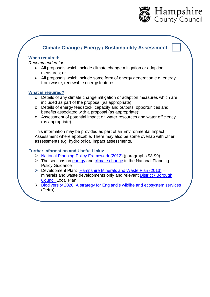

# **Climate Change / Energy / Sustainability Assessment**

#### **When required:**

*Recommended for*:

- All proposals which include climate change mitigation or adaption measures; or
- All proposals which include some form of energy generation e.g. energy from waste, renewable energy features.

#### **What is required?**

- o Details of any climate change mitigation or adaption measures which are included as part of the proposal (as appropriate);
- o Details of energy feedstock, capacity and outputs, opportunities and benefits associated with a proposal (as appropriate);
- o Assessment of potential impact on water resources and water efficiency (as appropriate).

This information may be provided as part of an Environmental Impact Assessment where applicable. There may also be some overlap with other assessments e.g. hydrological impact assessments.

- > National Planning Policy Framework (2012) (paragraphs 93-99)
- $\triangleright$  The sections on energy and climate change in the National Planning Policy Guidance
- ▶ Development Plan: Hampshire Minerals and Waste Plan (2013) minerals and waste developments only and relevant District / Borough Council Local Plan
- Biodiversity 2020: A strategy for England's wildlife and ecosystem services (Defra)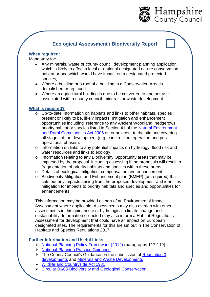

# **Ecological Assessment / Biodiversity Report**

# **When required:**

Mandatory for:

- Any minerals, waste or county council development planning application which is likely to affect a local or national designated nature conservation habitat or one which would have impact on a designated protected species;
- Where a building or a roof of a building in a Conservation Area is demolished or replaced;
- Where an agricultural building is due to be converted to another use associated with a county council, minerals or waste development.

# **What is required?**

- o Up-to-date information on habitats and links to other habitats, species present or likely to be, likely impacts, mitigation and enhancement opportunities including reference to any Ancient Woodland, hedgerows, priority habitat or species listed in Section 41 of the Natural Environment and Rural Communities Act 2006 on or adjacent to the site and covering all stages of the development (e.g. construction, operation and post operational phases).
- o Information on links to any potential impacts on hydrology, flood risk and water resources and links to ecology.
- o Information relating to any Biodiversity Opportunity areas that may be impacted by the proposal including assessing if the proposals will result in fragmentation of priority habitats and species within these areas.
- o Details of ecological mitigation, compensation and enhancement.
- o Biodiversity Mitigation and Enhancement plan (BMEP) (as required) that sets out any impacts arising from the proposed development and identifies mitigation for impacts to priority habitats and species and opportunities for enhancements.

This information may be provided as part of an Environmental Impact Assessment where applicable. Assessments may also overlap with other assessments in this guidance e.g. hydrological, climate change and sustainability. Information collected may also inform a Habitat Regulations Assessment for development that could have an impact on European designated sites. The requirements for this are set out in The Conservation of Habitats and Species Regulations 2017.

- National Planning Policy Framework (2012) (paragraphs 117-119)
- > National Planning Practice Guidance
- $\triangleright$  The County Council's Guidance on the submission of Regulation 3 developments and Minerals and Waste Developments
- ▶ Wildlife and Countryside Act 1981
- **EX Circular 06/05 Biodiversity and Geological Conservation**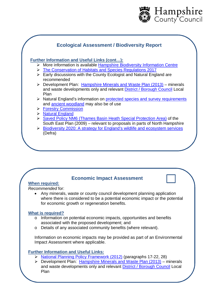

# **Ecological Assessment / Biodiversity Report Further Information and Useful Links (cont…):**  $\triangleright$  More information is available Hampshire Biodiversity Information Centre > The Conservation of Habitats and Species Regulations 2017  $\triangleright$  Early discussions with the County Ecologist and Natural England are recommended  $\triangleright$  Development Plan: Hampshire Minerals and Waste Plan (2013) – minerals and waste developments only and relevant District / Borough Council Local Plan ▶ Natural England's information on protected species and survey requirements and ancient woodland may also be of use **Forestry Commission** > Natural England Saved Policy NM6 (Thames Basin Heath Special Protection Area) of the South East Plan (2009) – relevant to proposals in parts of North Hampshire Biodiversity 2020: A strategy for England's wildlife and ecosystem services (Defra)

# **Economic Impact Assessment**

# **When required:**

#### *Recommended* for:

 Any minerals, waste or county council development planning application where there is considered to be a potential economic impact or the potential for economic growth or regeneration benefits.

# **What is required?**

- o Information on potential economic impacts, opportunities and benefits associated with the proposed development; and
- o Details of any associated community benefits (where relevant).

Information on economic impacts may be provided as part of an Environmental Impact Assessment where applicable.

- National Planning Policy Framework (2012) (paragraphs 17-22, 28)
- Development Plan: Hampshire Minerals and Waste Plan (2013) minerals and waste developments only and relevant District / Borough Council Local Plan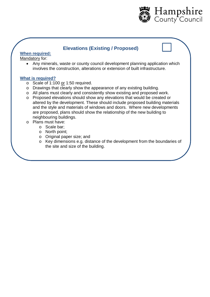

# **Elevations (Existing / Proposed)**

**When required:**

Mandatory for:

• Any minerals, waste or county council development planning application which involves the construction, alterations or extension of built infrastructure.

# **What is required?**

- o Scale of 1:100 or 1:50 required.
- o Drawings that clearly show the appearance of any existing building.
- o All plans must clearly and consistently show existing and proposed work.
- o Proposed elevations should show any elevations that would be created or altered by the development. These should include proposed building materials and the style and materials of windows and doors. Where new developments are proposed, plans should show the relationship of the new building to neighbouring buildings.
- o Plans must have:
	- o Scale bar;
	- o North point;
	- o Original paper size; and
	- o Key dimensions e.g. distance of the development from the boundaries of the site and size of the building.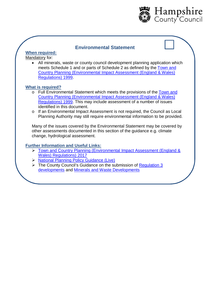

# **Environmental Statement**

# **When required:**

Mandatory for*:*

 All minerals, waste or county council development planning application which meets Schedule 1 and or parts of Schedule 2 as defined by the Town and Country Planning (Environmental Impact Assessment (England & Wales) Regulations) 1999.

# **What is required?**

- o Full Environmental Statement which meets the provisions of the Town and Country Planning (Environmental Impact Assessment (England & Wales) Regulations) 1999. This may include assessment of a number of issues identified in this document.
- o If an Environmental Impact Assessment is not required, the Council as Local Planning Authority may still require environmental information to be provided.

Many of the issues covered by the Environmental Statement may be covered by other assessments documented in this section of the guidance e.g. climate change, hydrological assessment.

- ▶ Town and Country Planning (Environmental Impact Assessment (England & Wales) Regulations) 2017
- National Planning Policy Guidance (Live)
- The County Council's Guidance on the submission of Regulation 3 developments and Minerals and Waste Developments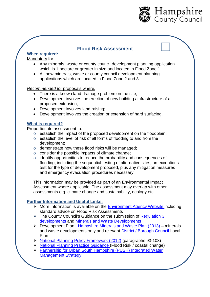

# **Flood Risk Assessment**

# **When required:**

# Mandatory for*:*

- Any minerals, waste or county council development planning application which is 1 hectare or greater in size and located in Flood Zone 1.
- All new minerals, waste or county council development planning applications which are located in Flood Zone 2 and 3.

# *Recommended for* proposals where*:*

- There is a known land drainage problem on the site;
- Development involves the erection of new building / infrastructure of a proposed extension;
- Development involves land raising;
- Development involves the creation or extension of hard surfacing.

# **What is required?**

Proportionate assessment to:

- o establish the impact of the proposed development on the floodplain;
- o establish the level of risk of all forms of flooding to and from the development;
- o demonstrate how these flood risks will be managed;
- o consider the possible impacts of climate change;
- o identify opportunities to reduce the probability and consequences of flooding, including the sequential testing of alternative sites, an exceptions test for the type of development proposed, plus any mitigation measures and emergency evacuation procedures necessary.

This information may be provided as part of an Environmental Impact Assessment where applicable. The assessment may overlap with other assessments e.g. climate change and sustainability, ecology etc.

- $\triangleright$  More information is available on the Environment Agency Website including standard advice on Flood Risk Assessments
- $\triangleright$  The County Council's Guidance on the submission of Regulation 3 developments and Minerals and Waste Developments
- Development Plan: Hampshire Minerals and Waste Plan (2013) minerals and waste developments only and relevant District / Borough Council Local Plan
- ▶ National Planning Policy Framework (2012) (paragraphs 93-108)
- National Planning Practice Guidance (Flood Risk / coastal change)
- Partnership for Urban South Hampshire (PUSH) Integrated Water Management Strategy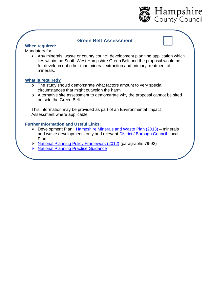

# **Green Belt Assessment**

# **When required:**

Mandatory for:

 Any minerals, waste or county council development planning application which lies within the South West Hampshire Green Belt and the proposal would be for development other than mineral extraction and primary treatment of minerals.

#### **What is required?**

- o The study should demonstrate what factors amount to very special circumstances that might outweigh the harm.
- o Alternative site assessment to demonstrate why the proposal cannot be sited outside the Green Belt.

This information may be provided as part of an Environmental Impact Assessment where applicable.

- $\triangleright$  Development Plan: Hampshire Minerals and Waste Plan (2013) minerals and waste developments only and relevant District / Borough Council Local Plan
- ▶ National Planning Policy Framework (2012) (paragraphs 79-92)
- > National Planning Practice Guidance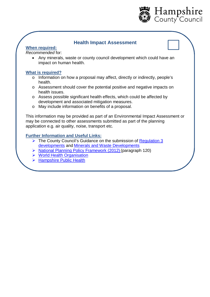

# **Health Impact Assessment**

#### **When required:**

#### *Recommended* for:

 Any minerals, waste or county council development which could have an impact on human health.

#### **What is required?**

- o Information on how a proposal may affect, directly or indirectly, people's health.
- o Assessment should cover the potential positive and negative impacts on health issues.
- o Assess possible significant health effects, which could be affected by development and associated mitigation measures.
- o May include information on benefits of a proposal.

This information may be provided as part of an Environmental Impact Assessment or may be connected to other assessments submitted as part of the planning application e.g. air quality, noise, transport etc.

- The County Council's Guidance on the submission of Regulation 3 developments and Minerals and Waste Developments
- National Planning Policy Framework (2012) (paragraph 120)
- ▶ World Health Organisation
- > Hampshire Public Health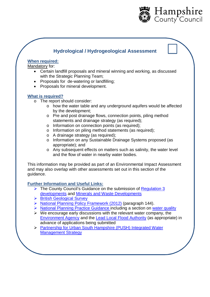

# **Hydrological / Hydrogeological Assessment**

#### **When required:**

Mandatory for:

- Certain landfill proposals and mineral winning and working, as discussed with the Strategic Planning Team;
- Proposals for de-watering or landfilling;
- Proposals for mineral development.

# **What is required?**

- o The report should consider:
	- o how the water table and any underground aquifers would be affected by the development;
	- o Pre and post drainage flows, connection points, piling method statements and drainage strategy (as required);
	- o Information on connection points (as required);
	- o Information on piling method statements (as required);
	- o A drainage strategy (as required);
	- o Information on any Sustainable Drainage Systems proposed (as appropriate); and
	- o Any subsequent effects on matters such as salinity, the water level and the flow of water in nearby water bodies.

This information may be provided as part of an Environmental Impact Assessment and may also overlap with other assessments set out in this section of the guidance.

- The County Council's Guidance on the submission of Regulation 3 developments and Minerals and Waste Developments
- ▶ British Geological Survey
- ▶ National Planning Policy Framework (2012) (paragraph 144).
- ▶ National Planning Practice Guidance including a section on water quality
- $\triangleright$  We encourage early discussions with the relevant water company, the Environment Agency and the Lead Local Flood Authority (as appropriate) in advance of applications being submitted
- Partnership for Urban South Hampshire (PUSH) Integrated Water Management Strategy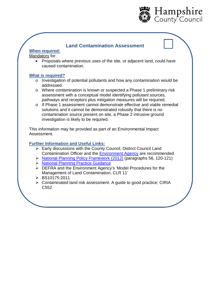

# **Land Contamination Assessment**

# **When required:**

Mandatory for:

 Proposals where previous uses of the site, or adjacent land, could have caused contamination.

# **What is required?**

- o Investigation of potential pollutants and how any contamination would be addressed.
- o Where contamination is known or suspected a Phase 1 preliminary risk assessment with a conceptual model identifying pollutant sources, pathways and receptors plus mitigation measures will be required.
- o If Phase 1 assessment cannot demonstrate effective and viable remedial solutions and it cannot be demonstrated robustly that there is no contamination source present on site, a Phase 2 intrusive ground investigation is likely to be required.

This information may be provided as part of an Environmental Impact Assessment.

- $\triangleright$  Early discussions with the County Council, District Council Land Contamination Officer and the Environment Agency are recommended
- > National Planning Policy Framework (2012) (paragraphs 56, 120-121)
- ▶ National Planning Practice Guidance
- > DEFRA and the Environment Agency's 'Model Procedures for the Management of Land Contamination, CLR 11'
- BS10175:2011
- Contaminated land risk assessment. A guide to good practice; CIRIA C552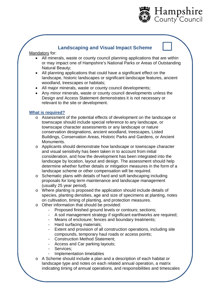

# **Landscaping and Visual Impact Scheme**

#### Mandatory for:

- All minerals, waste or county council planning applications that are within or may impact one of Hampshire's National Parks or Areas of Outstanding Natural Beauty;
- All planning applications that could have a significant effect on the landscape, historic landscapes or significant landscape features, ancient woodland, treescapes or habitats;
- All major minerals, waste or county council developments;
- Any minor minerals, waste or county council developments unless the Design and Access Statement demonstrates it is not necessary or relevant to the site or development.

#### **What is required?**

- o Assessment of the potential effects of development on the landscape or townscape should include special reference to any landscape, or townscape character assessments or any landscape or nature conservation designations, ancient woodland, treescapes, Listed Buildings, Conservation Areas, Historic Parks and Gardens, or Ancient Monuments.
- o Applicants should demonstrate how landscape or townscape character and visual sensitivity has been taken in to account from initial consideration, and how the development has been integrated into the landscape by location, layout and design. The assessment should help determine whether further details or mitigation measures in the form of a landscape scheme or other compensation will be required.
- o Schematic plans with details of hard and soft landscaping including proposals for long term maintenance and landscape management (usually 25 year period).
- o Where planting is proposed the application should include details of species, planting densities, age and size of specimens at planting, notes on cultivation, timing of planting, and protection measures.
- o Other information that should be provided:
	- Proposed finished ground levels or contours; sections;
	- A soil management strategy if significant earthworks are required;
	- Means of enclosure; fences and boundary treatments;
	- Hard surfacing materials;
	- Extent and provision of all construction operations, including site compounds, temporary haul roads or access points;
	- Construction Method Statement;
	- Access and Car parking layouts;
	- Services;

for implementation.

- Implementation timetables
- o A Scheme should include a plan and a description of each habitat or landscape type and notes on each related annual operation, a matrix indicating timing of annual operations, and responsibilities and timescales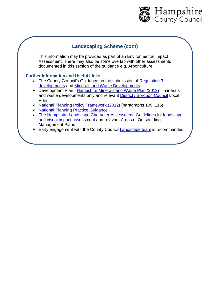

# **Landscaping Scheme (cont)**

This information may be provided as part of an Environmental Impact Assessment. There may also be some overlap with other assessments documented in this section of the guidance e.g. Arboriculture.

- $\triangleright$  The County Council's Guidance on the submission of Regulation 3 developments and Minerals and Waste Developments
- $\triangleright$  Development Plan: Hampshire Minerals and Waste Plan (2013) minerals and waste developments only and relevant District / Borough Council Local Plan
- ▶ National Planning Policy Framework (2012) (paragraphs 109, 116)
- ▶ National Planning Practice Guidance
- > The Hampshire Landscape Character Assessment, Guidelines for landscape and visual impact assessment and relevant Areas of Outstanding Management Plans
- $\triangleright$  Early engagement with the County Council Landscape team is recommended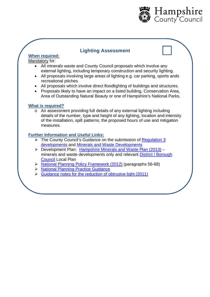

# **Lighting Assessment**

# **When required:**

# Mandatory for:

- All minerals waste and County Council proposals which involve any external lighting, including temporary construction and security lighting.
- All proposals involving large areas of lighting e.g. car parking, sports ands recreational pitches.
- All proposals which involve direct floodlighting of buildings and structures.
- Proposals likely to have an impact on a listed building, Conservation Area, Area of Outstanding Natural Beauty or one of Hampshire's National Parks.

#### **What is required?**

o An assessment providing full details of any external lighting including details of the number, type and height of any lighting, location and intensity of the installation, spill patterns, the proposed hours of use and mitigation measures.

- $\triangleright$  The County Council's Guidance on the submission of Regulation 3 developments and Minerals and Waste Developments
- Development Plan: Hampshire Minerals and Waste Plan (2013) minerals and waste developments only and relevant District / Borough Council Local Plan
- > National Planning Policy Framework (2012) (paragraphs 56-68)
- ▶ National Planning Practice Guidance
- $\triangleright$  Guidance notes for the reduction of obtrusive light (2011)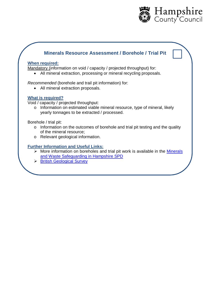

# **Minerals Resource Assessment / Borehole / Trial Pit**

#### **When required:**

Mandatory (information on void / capacity / projected throughput) for:

All mineral extraction, processing or mineral recycling proposals.

*Recommended* (borehole and trail pit information) for:

All mineral extraction proposals.

# **What is required?**

Void / capacity / projected throughput:

o Information on estimated viable mineral resource, type of mineral, likely yearly tonnages to be extracted / processed.

Borehole / trial pit:

- o Information on the outcomes of borehole and trial pit testing and the quality of the mineral resource;
- o Relevant geological information.

- $\triangleright$  More information on boreholes and trial pit work is available in the Minerals and Waste Safeguarding in Hampshire SPD
- **British Geological Survey**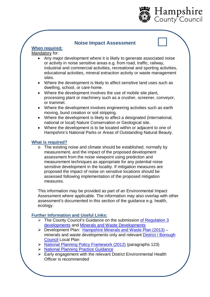

# **Noise Impact Assessment**

# **When required:**

#### Mandatory for:

- Any major development where it is likely to generate associated noise or activity in noise sensitive areas e.g. from road, traffic, railway, industrial and commercial activities, recreational and sporting activities, educational activities, mineral extraction activity or waste management sites.
- Where the development is likely to affect sensitive land uses such as dwelling, school, or care-home.
- Where the development involves the use of mobile site plant, processing plant or machinery such as a crusher, screener, conveyor, or trammel.
- Where the development involves engineering activities such as earth moving, bund creation or soil stripping.
- Where the development is likely to affect a designated (international, national or local) Nature Conservation or Geological site.
- Where the development is to be located within or adjacent to one of Hampshire's National Parks or Areas of Outstanding Natural Beauty.

#### **What is required?**

o The existing noise and climate should be established, normally by measurement, and the impact of the proposed development assessment from the noise viewpoint using prediction and measurement techniques as appropriate for any potential noise sensitive development in the locality. If mitigation measures are proposed the impact of noise on sensitive locations should be assessed following implementation of the proposed mitigation measures.

This information may be provided as part of an Environmental Impact Assessment where applicable. The information may also overlap with other assessment's documented in this section of the guidance e.g. health, ecology.

- The County Council's Guidance on the submission of Regulation 3 developments and Minerals and Waste Developments
- ▶ Development Plan: Hampshire Minerals and Waste Plan (2013) minerals and waste developments only and relevant District / Borough Council Local Plan
- National Planning Policy Framework (2012) (paragraphs 123)
- **National Planning Practice Guidance**
- $\triangleright$  Early engagement with the relevant District Environmental Health Officer is recommended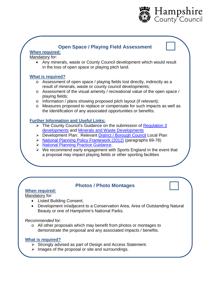

# **Open Space / Playing Field Assessment**

# **When required:**

Mandatory for:

 Any minerals, waste or County Council development which would result in the loss of open space or playing pitch land.

#### **What is required?**

- o Assessment of open space / playing fields lost directly, indirectly as a result of minerals, waste or county council developments;
- o Assessment of the visual amenity / recreational value of the open space / playing fields;
- o Information / plans showing proposed pitch layout (if relevant);
- o Measures proposed to replace or compensate for such impacts as well as the identification of any associated opportunities or benefits.

#### **Further Information and Useful Links:**

- $\triangleright$  The County Council's Guidance on the submission of Regulation 3 developments and Minerals and Waste Developments
- > Development Plan: Relevant District / Borough Council Local Plan
- ▶ National Planning Policy Framework (2012) (paragraphs 69-78)
- > National Planning Practice Guidance.
- $\triangleright$  We recommend early engagement with Sports England in the event that a proposal may impact playing fields or other sporting facilities

# **Photos / Photo Montages**

# **When required:**

Mandatory for:

- Listed Building Consent;
- Development in/adjacent to a Conservation Area, Area of Outstanding Natural Beauty or one of Hampshire's National Parks.

#### *Recommended* for:

o All other proposals which may benefit from photos or montages to demonstrate the proposal and any associated impacts / benefits.

#### **What is required?**

- $\triangleright$  Strongly advised as part of Design and Access Statement.
- $\triangleright$  Images of the proposal or site and surroundings.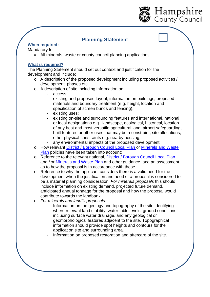

# **Planning Statement**

# **When required:**

#### Mandatory for

All minerals, waste or county council planning applications.

# **What is required?**

The Planning Statement should set out context and justification for the development and include:

- o A description of the proposed development including proposed activities / development, phases etc.
- o A description of site including information on:
	- access;
	- existing and proposed layout, information on buildings, proposed materials and boundary treatment (e.g. height, location and specification of screen bunds and fencing);
	- existing uses;
	- existing on-site and surrounding features and international, national or local designations e.g. landscape, ecological, historical, location of any best and most versatile agricultural land, airport safeguarding, built features or other uses that may be a constraint, site allocations, other physical constraints e.g. nearby housing;
- any environmental impacts of the proposed development.
- o How relevant District / Borough Council Local Plan or Minerals and Waste Plan policies have been taken into account;
- o Reference to the relevant national, District / Borough Council Local Plan and / or Minerals and Waste Plan and other guidance, and an assessment as to how the proposal is in accordance with these.
- o Reference to why the applicant considers there is a valid need for the development when the justification and need of a proposal is considered to be a material planning consideration. *For minerals proposals* this should include information on existing demand, projected future demand, anticipated annual tonnage for the proposal and how the proposal would contribute towards the landbank.
- o *For minerals and landfill proposals:*
	- Information on the geology and topography of the site identifying where relevant land stability, water table levels, ground conditions including surface water drainage, and any geological or geomorphological features adjacent to the site. Topographical information should provide spot heights and contours for the application site and surrounding area.
	- Information on proposed restoration and aftercare of the site.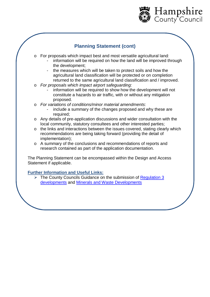

# **Planning Statement (cont)**

- o For proposals which impact best and most versatile agricultural land*:*
	- information will be required on how the land will be improved through the development;
	- the measures which will be taken to protect soils and how the agricultural land classification will be protected or on completion returned to the same agricultural land classification and / improved.
- o *For proposals which impact airport safeguarding:*
	- information will be required to show how the development will not constitute a hazards to air traffic, with or without any mitigation proposed.
- o *For variations of conditions/minor material amendments*:
	- include a summary of the changes proposed and why these are required;
- o Any details of pre-application discussions and wider consultation with the local community, statutory consultees and other interested parties;
- o the links and interactions between the issues covered, stating clearly which recommendations are being taking forward (providing the detail of implementation);
- o A summary of the conclusions and recommendations of reports and research contained as part of the application documentation.

The Planning Statement can be encompassed within the Design and Access Statement if applicable.

# **Further Information and Useful Links:**

 The County Councils Guidance on the submission of Regulation 3 developments and Minerals and Waste Developments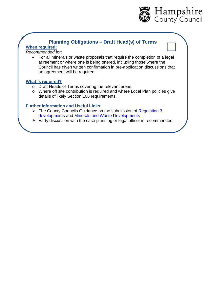

# **Planning Obligations – Draft Head(s) of Terms**

# **When required:**

# *Recommended* for:

 For all minerals or waste proposals that require the completion of a legal agreement or where one is being offered, including those where the Council has given written confirmation in pre-application discussions that an agreement will be required.

# **What is required?**

- o Draft Heads of Terms covering the relevant areas.
- o Where off site contribution is required and where Local Plan policies give details of likely Section 106 requirements.

- $\triangleright$  The County Councils Guidance on the submission of Regulation 3 developments and Minerals and Waste Developments
- $\triangleright$  Early discussion with the case planning or legal officer is recommended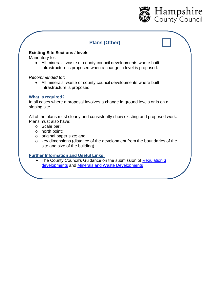

# **Plans (Other)**

# **Existing Site Sections / levels**

Mandatory for:

 All minerals, waste or county council developments where built infrastructure is proposed when a change in level is proposed.

#### *Recommended* for:

 All minerals, waste or county council developments where built infrastructure is proposed.

#### **What is required?**

In all cases where a proposal involves a change in ground levels or is on a sloping site.

All of the plans must clearly and consistently show existing and proposed work. Plans must also have:

- o Scale bar;
- o north point;
- o original paper size; and
- o key dimensions (distance of the development from the boundaries of the site and size of the building).

#### **Further Information and Useful Links:**

▶ The County Council's Guidance on the submission of Regulation 3 developments and Minerals and Waste Developments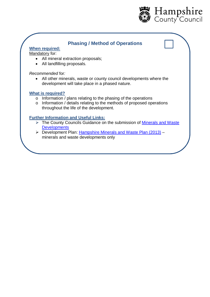

# **Phasing / Method of Operations**

#### **When required:**

Mandatory for:

- All mineral extraction proposals;
- All landfilling proposals.

*Recommended* for*:*

 All other minerals, waste or county council developments where the development will take place in a phased nature.

#### **What is required?**

- o Information / plans relating to the phasing of the operations
- o Information / details relating to the methods of proposed operations throughout the life of the development.

- The County Councils Guidance on the submission of Minerals and Waste **Developments**
- ▶ Development Plan: Hampshire Minerals and Waste Plan (2013) minerals and waste developments only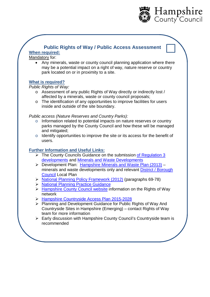

# **Public Rights of Way / Public Access Assessment**

# **When required:**

Mandatory for:

 Any minerals, waste or county council planning application where there may be a potential impact on a right of way, nature reserve or country park located on or in proximity to a site.

# **What is required?**

*Public Rights of Way:*

- o Assessment of any public Rights of Way directly or indirectly lost / affected by a minerals, waste or county council proposals;
- o The identification of any opportunities to improve facilities for users inside and outside of the site boundary.

*Public access (Nature Reserves and Country Parks):*

- o Information related to potential impacts on nature reserves or country parks managed by the County Council and how these will be managed and mitigated;
- o Identify opportunities to improve the site or its access for the benefit of users.

- $\triangleright$  The County Councils Guidance on the submission of Regulation 3 developments and Minerals and Waste Developments
- Development Plan: Hampshire Minerals and Waste Plan (2013) minerals and waste developments only and relevant District / Borough Council Local Plan
- ▶ National Planning Policy Framework (2012) (paragraphs 69-78)
- > National Planning Practice Guidance
- $\triangleright$  Hampshire County Council website information on the Rights of Way network
- ▶ Hampshire Countryside Access Plan 2015-2028
- Planning and Development Guidance for Public Rights of Way And Countryside Sites in Hampshire (Emerging) – contact Rights of Way team for more information
- $\triangleright$  Early discussion with Hampshire County Council's Countryside team is recommended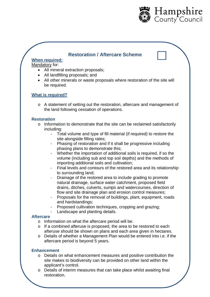

# **Restoration / Aftercare Scheme**

# **When required:**

# Mandatory for:

- All mineral extraction proposals:
- All landfilling proposals; and
- All other minerals or waste proposals where restoration of the site will be required.

# **What is required?**

o A statement of setting out the restoration, aftercare and management of the land following cessation of operations.

# **Restoration**

- o Information to demonstrate that the site can be reclaimed satisfactorily including:
	- Total volume and type of fill material (if required) to restore the site alongside filling rates;
	- Phasing of restoration and if it shall be progressive including phasing plans to demonstrate this;
	- Whether the importation of additional soils is required, if so the volume (including sub and top soil depths) and the methods of importing additional soils and cultivation;
	- Final levels and contours of the restored area and its relationship to surrounding land;
	- Drainage of the restored area to include grading to promote natural drainage, surface water catchment, proposed field drains, ditches, culverts, sumps and watercourses, direction of flow and site drainage plan and erosion control measures;
	- Proposals for the removal of buildings, plant, equipment, roads and hardstandings;
	- Proposed cultivation techniques, cropping and grazing;
	- Landscape and planting details.

#### **Aftercare**

- o Information on what the aftercare period will be.
- o If a combined afteruse is proposed, the area to be restored to each afteruse should be shown on plans and each area given in hectares.
- o Details of whether a Management Plan would be entered into i.e. if the aftercare period is beyond 5 years.

#### **Enhancement**

- o Details on what enhancement measures and positive contribution the site makes to biodiversity can be provided on other land within the applicant's control.
- $\circ$  Details of interim measures that can take place whilst awaiting final restoration.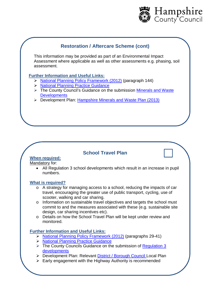

# **Restoration / Aftercare Scheme (cont)**

This information may be provided as part of an Environmental Impact Assessment where applicable as well as other assessments e.g. phasing, soil assessment.

#### **Further Information and Useful Links:**

- National Planning Policy Framework (2012) (paragraph 144)
- **National Planning Practice Guidance**
- The County Council's Guidance on the submission Minerals and Waste **Developments**
- Development Plan: Hampshire Minerals and Waste Plan (2013)

# **School Travel Plan**

#### **When required:**

Mandatory for:

 All Regulation 3 school developments which result in an increase in pupil numbers.

#### **What is required?**

- o A strategy for managing access to a school, reducing the impacts of car travel, encouraging the greater use of public transport, cycling, use of scooter, walking and car sharing.
- o Information on sustainable travel objectives and targets the school must commit to and the measures associated with these (e.g. sustainable site design, car sharing incentives etc).
- o Details on how the School Travel Plan will be kept under review and monitored.

- ▶ National Planning Policy Framework (2012) (paragraphs 29-41)
- ▶ National Planning Practice Guidance
- $\triangleright$  The County Councils Guidance on the submission of Regulation 3 developments
- P Development Plan: Relevant District / Borough Council Local Plan
- $\triangleright$  Early engagement with the Highway Authority is recommended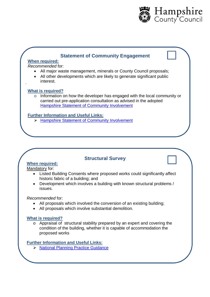

# **Statement of Community Engagement**

# **When required:**

*Recommended* for:

- All major waste management, minerals or County Council proposals;
- All other developments which are likely to generate significant public interest.

# **What is required?**

.

o Information on how the developer has engaged with the local community or carried out pre-application consultation as advised in the adopted Hampshire Statement of Community Involvement

# **Further Information and Useful Links:**

> Hampshire Statement of Community Involvement

# **Structural Survey**

# **When required:**

Mandatory for:

- Listed Building Consents where proposed works could significantly affect historic fabric of a building; and
- Development which involves a building with known structural problems / issues.

#### *Recommended* for:

- All proposals which involved the conversion of an existing building;
- All proposals which involve substantial demolition.

#### **What is required?**

o Appraisal of structural stability prepared by an expert and covering the condition of the building, whether it is capable of accommodation the proposed works

**Further Information and Useful Links:**

> National Planning Practice Guidance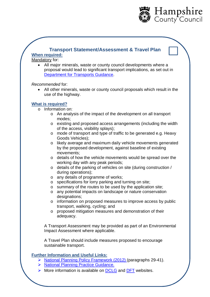

# **Transport Statement/Assessment & Travel Plan**

# **When required:**

Mandatory for:

 All major minerals, waste or county council developments where a proposal would lead to significant transport implications, as set out in Department for Transports Guidance.

*Recommended* for:

 All other minerals, waste or county council proposals which result in the use of the highway.

# **What is required?**

- o Information on:
	- o An analysis of the impact of the development on all transport modes;
	- o existing and proposed access arrangements (including the width of the access, visibility splays);
	- o mode of transport and type of traffic to be generated e.g. Heavy Goods Vehicles);
	- o likely average and maximum daily vehicle movements generated by the proposed development, against baseline of existing movements;
	- o details of how the vehicle movements would be spread over the working day with any peak periods;
	- o details of the parking of vehicles on site (during construction / during operations);
	- o any details of programme of works;
	- o specifications for lorry parking and turning on site;
	- o summary of the routes to be used by the application site;
	- o any potential impacts on landscape or nature conservation designations;
	- o information on proposed measures to improve access by public transport, walking, cycling; and
	- o proposed mitigation measures and demonstration of their adequacy.

A Transport Assessment may be provided as part of an Environmental Impact Assessment where applicable.

A Travel Plan should include measures proposed to encourage sustainable transport.

- $\triangleright$  National Planning Policy Framework (2012) (paragraphs 29-41).
- > National Planning Practice Guidance.
- $\triangleright$  More information is available on **DCLG** and **DFT** websites.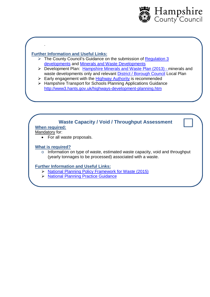

# **Further Information and Useful Links:**

- $\triangleright$  The County Council's Guidance on the submission of Regulation 3 developments and Minerals and Waste Developments
- Development Plan: Hampshire Minerals and Waste Plan (2013) minerals and waste developments only and relevant **District / Borough Council** Local Plan
- $\triangleright$  Early engagement with the Highway Authority is recommended
- > Hampshire Transport for Schools Planning Applications Guidance <http://www3.hants.gov.uk/highways-development-planning.htm>

# **Waste Capacity / Void / Throughput Assessment**

# **When required:**

Mandatory for:

.

• For all waste proposals.

# **What is required?**

o Information on type of waste, estimated waste capacity, void and throughput (yearly tonnages to be processed) associated with a waste.

- ▶ National Planning Policy Framework for Waste (2015)
- > National Planning Practice Guidance